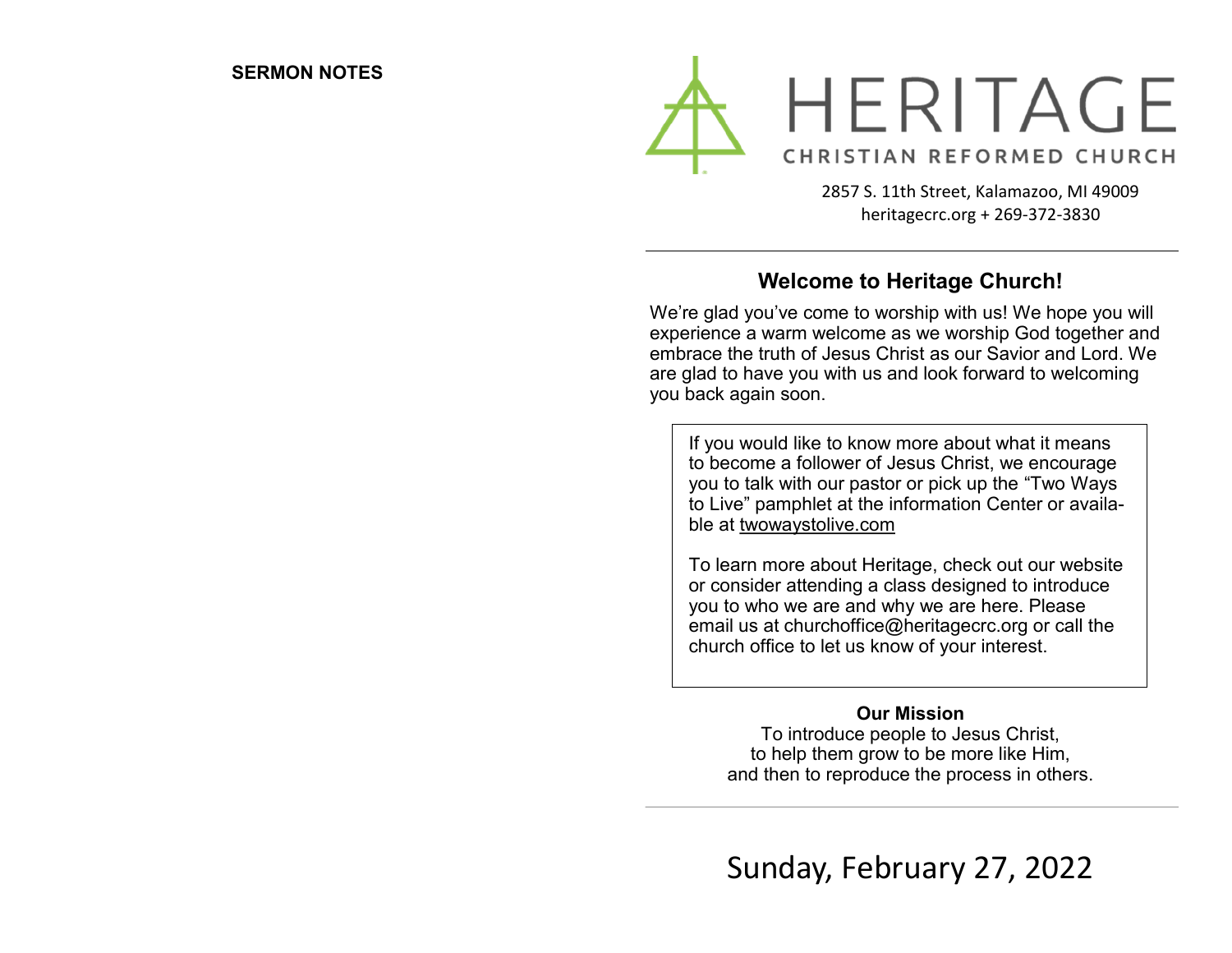

2857 S. 11th Street, Kalamazoo, MI 49009 heritagecrc.org + 269-372-3830

# **Welcome to Heritage Church!**

We're glad you've come to worship with us! We hope you will experience a warm welcome as we worship God together and embrace the truth of Jesus Christ as our Savior and Lord. We are glad to have you with us and look forward to welcoming you back again soon.

If you would like to know more about what it means to become a follower of Jesus Christ, we encourage you to talk with our pastor or pick up the "Two Ways to Live" pamphlet at the information Center or available at twowaystolive.com

To learn more about Heritage, check out our website or consider attending a class designed to introduce you to who we are and why we are here. Please email us at churchoffice@heritagecrc.org or call the church office to let us know of your interest.

#### **Our Mission**

To introduce people to Jesus Christ, to help them grow to be more like Him, and then to reproduce the process in others.

Sunday, February 27, 2022